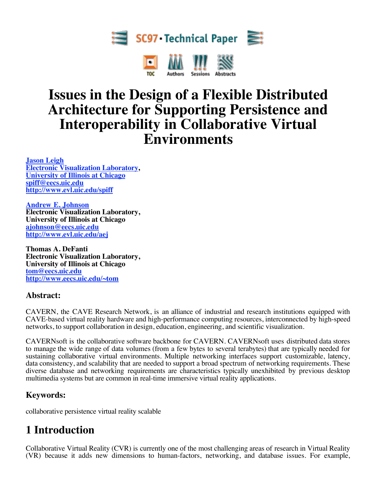



# **Issues in the Design of a Flexible Distributed Architecture for Supporting Persistence and Interoperability in Collaborative Virtual Environments**

**Jason Leigh Electronic Visualization Laboratory, University of Illinois at Chicago spiff@eecs.uic.edu http://www.evl.uic.edu/spiff**

**Andrew E. Johnson Electronic Visualization Laboratory, University of Illinois at Chicago ajohnson@eecs.uic.edu http://www.evl.uic.edu/aej**

**Thomas A. DeFanti Electronic Visualization Laboratory, University of Illinois at Chicago tom@eecs.uic.edu http://www.eecs.uic.edu/~tom**

### **Abstract:**

CAVERN, the CAVE Research Network, is an alliance of industrial and research institutions equipped with CAVE-based virtual reality hardware and high-performance computing resources, interconnected by high-speed networks, to support collaboration in design, education, engineering, and scientific visualization.

CAVERNsoft is the collaborative software backbone for CAVERN. CAVERNsoft uses distributed data stores to manage the wide range of data volumes (from a few bytes to several terabytes) that are typically needed for sustaining collaborative virtual environments. Multiple networking interfaces support customizable, latency, data consistency, and scalability that are needed to support a broad spectrum of networking requirements. These diverse database and networking requirements are characteristics typically unexhibited by previous desktop multimedia systems but are common in real-time immersive virtual reality applications.

### **Keywords:**

collaborative persistence virtual reality scalable

## **1 Introduction**

Collaborative Virtual Reality (CVR) is currently one of the most challenging areas of research in Virtual Reality (VR) because it adds new dimensions to human-factors, networking, and database issues. For example,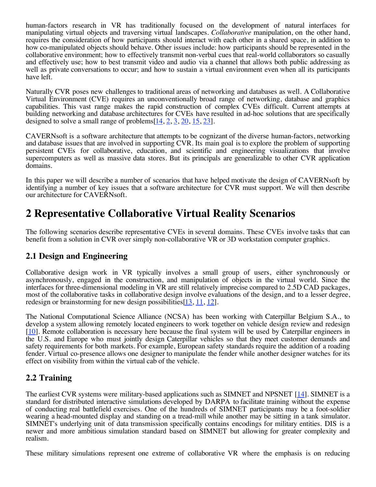human-factors research in VR has traditionally focused on the development of natural interfaces for manipulating virtual objects and traversing virtual landscapes. *Collaborative* manipulation, on the other hand, requires the consideration of how participants should interact with each other in a shared space, in addition to how co-manipulated objects should behave. Other issues include: how participants should be represented in the collaborative environment; how to effectively transmit non-verbal cues that real-world collaborators so casually and effectively use; how to best transmit video and audio via a channel that allows both public addressing as well as private conversations to occur; and how to sustain a virtual environment even when all its participants have left.

Naturally CVR poses new challenges to traditional areas of networking and databases as well. A Collaborative Virtual Environment (CVE) requires an unconventionally broad range of networking, database and graphics capabilities. This vast range makes the rapid construction of complex CVEs difficult. Current attempts at building networking and database architectures for CVEs have resulted in ad-hoc solutions that are specifically designed to solve a small range of problems $[14, 2, 3, 20, 15, 23]$ .

CAVERNsoft is a software architecture that attempts to be cognizant of the diverse human-factors, networking and database issues that are involved in supporting CVR. Its main goal is to explore the problem of supporting persistent CVEs for collaborative, education, and scientific and engineering visualizations that involve supercomputers as well as massive data stores. But its principals are generalizable to other CVR application domains.

In this paper we will describe a number of scenarios that have helped motivate the design of CAVERNsoft by identifying a number of key issues that a software architecture for CVR must support. We will then describe our architecture for CAVERNsoft.

## **2 Representative Collaborative Virtual Reality Scenarios**

The following scenarios describe representative CVEs in several domains. These CVEs involve tasks that can benefit from a solution in CVR over simply non-collaborative VR or 3D workstation computer graphics.

### **2.1 Design and Engineering**

Collaborative design work in VR typically involves a small group of users, either synchronously or asynchronously, engaged in the construction, and manipulation of objects in the virtual world. Since the interfaces for three-dimensional modeling in VR are still relatively imprecise compared to 2.5D CAD packages, most of the collaborative tasks in collaborative design involve evaluations of the design, and to a lesser degree, redesign or brainstorming for new design possibilities [13, 11, 12].

The National Computational Science Alliance (NCSA) has been working with Caterpillar Belgium S.A., to develop a system allowing remotely located engineers to work together on vehicle design review and redesign [10]. Remote collaboration is necessary here because the final system will be used by Caterpillar engineers in the U.S. and Europe who must jointly design Caterpillar vehicles so that they meet customer demands and safety requirements for both markets. For example, European safety standards require the addition of a roading fender. Virtual co-presence allows one designer to manipulate the fender while another designer watches for its effect on visibility from within the virtual cab of the vehicle.

### **2.2 Training**

The earliest CVR systems were military-based applications such as SIMNET and NPSNET [14]. SIMNET is a standard for distributed interactive simulations developed by DARPA to facilitate training without the expense of conducting real battlefield exercises. One of the hundreds of SIMNET participants may be a foot-soldier wearing a head-mounted display and standing on a tread-mill while another may be sitting in a tank simulator. SIMNET's underlying unit of data transmission specifically contains encodings for military entities. DIS is a newer and more ambitious simulation standard based on SIMNET but allowing for greater complexity and realism.

These military simulations represent one extreme of collaborative VR where the emphasis is on reducing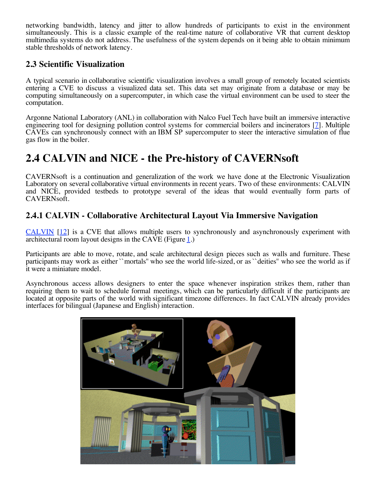networking bandwidth, latency and jitter to allow hundreds of participants to exist in the environment simultaneously. This is a classic example of the real-time nature of collaborative VR that current desktop multimedia systems do not address. The usefulness of the system depends on it being able to obtain minimum stable thresholds of network latency.

### **2.3 Scientific Visualization**

A typical scenario in collaborative scientific visualization involves a small group of remotely located scientists entering a CVE to discuss a visualized data set. This data set may originate from a database or may be computing simultaneously on a supercomputer, in which case the virtual environment can be used to steer the computation.

Argonne National Laboratory (ANL) in collaboration with Nalco Fuel Tech have built an immersive interactive engineering tool for designing pollution control systems for commercial boilers and incinerators [7]. Multiple CAVEs can synchronously connect with an IBM SP supercomputer to steer the interactive simulation of flue gas flow in the boiler.

## **2.4 CALVIN and NICE - the Pre-history of CAVERNsoft**

CAVERNsoft is a continuation and generalization of the work we have done at the Electronic Visualization Laboratory on several collaborative virtual environments in recent years. Two of these environments: CALVIN and NICE, provided testbeds to prototype several of the ideas that would eventually form parts of CAVERNsoft.

### **2.4.1 CALVIN - Collaborative Architectural Layout Via Immersive Navigation**

CALVIN [12] is a CVE that allows multiple users to synchronously and asynchronously experiment with architectural room layout designs in the CAVE (Figure  $1$ .)

Participants are able to move, rotate, and scale architectural design pieces such as walls and furniture. These participants may work as either ``mortals'' who see the world life-sized, or as ``deities'' who see the world as if it were a miniature model.

Asynchronous access allows designers to enter the space whenever inspiration strikes them, rather than requiring them to wait to schedule formal meetings, which can be particularly difficult if the participants are located at opposite parts of the world with significant timezone differences. In fact CALVIN already provides interfaces for bilingual (Japanese and English) interaction.

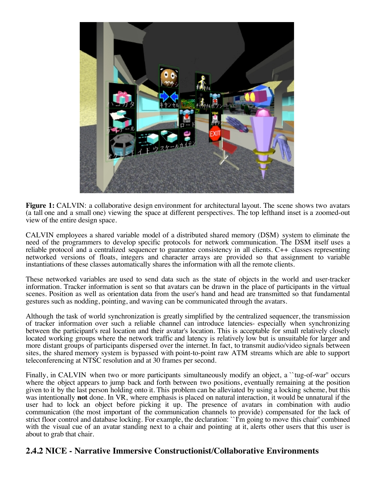

**Figure 1:** CALVIN: a collaborative design environment for architectural layout. The scene shows two avatars (a tall one and a small one) viewing the space at different perspectives. The top lefthand inset is a zoomed-out view of the entire design space.

CALVIN employees a shared variable model of a distributed shared memory (DSM) system to eliminate the need of the programmers to develop specific protocols for network communication. The DSM itself uses a reliable protocol and a centralized sequencer to guarantee consistency in all clients. C++ classes representing networked versions of floats, integers and character arrays are provided so that assignment to variable instantiations of these classes automatically shares the information with all the remote clients.

These networked variables are used to send data such as the state of objects in the world and user-tracker information. Tracker information is sent so that avatars can be drawn in the place of participants in the virtual scenes. Position as well as orientation data from the user's hand and head are transmitted so that fundamental gestures such as nodding, pointing, and waving can be communicated through the avatars.

Although the task of world synchronization is greatly simplified by the centralized sequencer, the transmission of tracker information over such a reliable channel can introduce latencies- especially when synchronizing between the participant's real location and their avatar's location. This is acceptable for small relatively closely located working groups where the network traffic and latency is relatively low but is unsuitable for larger and more distant groups of participants dispersed over the internet. In fact, to transmit audio/video signals between sites, the shared memory system is bypassed with point-to-point raw ATM streams which are able to support teleconferencing at NTSC resolution and at 30 frames per second.

Finally, in CALVIN when two or more participants simultaneously modify an object, a "tug-of-war" occurs where the object appears to jump back and forth between two positions, eventually remaining at the position given to it by the last person holding onto it. This problem can be alleviated by using a locking scheme, but this was intentionally **not** done. In VR, where emphasis is placed on natural interaction, it would be unnatural if the user had to lock an object before picking it up. The presence of avatars in combination with audio communication (the most important of the communication channels to provide) compensated for the lack of strict floor control and database locking. For example, the declaration: ``I'm going to move this chair'' combined with the visual cue of an avatar standing next to a chair and pointing at it, alerts other users that this user is about to grab that chair.

### **2.4.2 NICE - Narrative Immersive Constructionist/Collaborative Environments**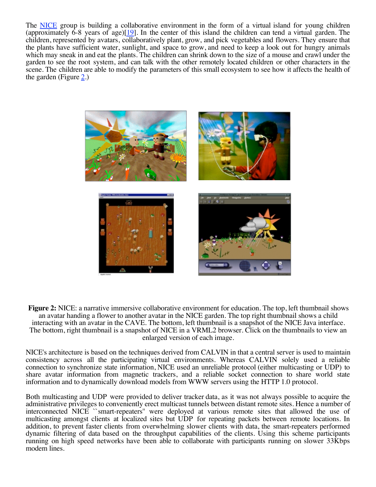The NICE group is building a collaborative environment in the form of a virtual island for young children (approximately 6-8 years of age) $[19]$ . In the center of this island the children can tend a virtual garden. The children, represented by avatars, collaboratively plant, grow, and pick vegetables and flowers. They ensure that the plants have sufficient water, sunlight, and space to grow, and need to keep a look out for hungry animals which may sneak in and eat the plants. The children can shrink down to the size of a mouse and crawl under the garden to see the root system, and can talk with the other remotely located children or other characters in the scene. The children are able to modify the parameters of this small ecosystem to see how it affects the health of the garden (Figure  $2$ .)



**Figure 2:** NICE: a narrative immersive collaborative environment for education. The top, left thumbnail shows an avatar handing a flower to another avatar in the NICE garden. The top right thumbnail shows a child interacting with an avatar in the CAVE. The bottom, left thumbnail is a snapshot of the NICE Java interface. The bottom, right thumbnail is a snapshot of NICE in a VRML2 browser. Click on the thumbnails to view an enlarged version of each image.

NICE's architecture is based on the techniques derived from CALVIN in that a central server is used to maintain consistency across all the participating virtual environments. Whereas CALVIN solely used a reliable connection to synchronize state information, NICE used an unreliable protocol (either multicasting or UDP) to share avatar information from magnetic trackers, and a reliable socket connection to share world state information and to dynamically download models from WWW servers using the HTTP 1.0 protocol.

Both multicasting and UDP were provided to deliver tracker data, as it was not always possible to acquire the administrative privileges to conveniently erect multicast tunnels between distant remote sites. Hence a number of interconnected NICE ``smart-repeaters'' were deployed at various remote sites that allowed the use of multicasting amongst clients at localized sites but UDP for repeating packets between remote locations. In addition, to prevent faster clients from overwhelming slower clients with data, the smart-repeaters performed dynamic filtering of data based on the throughput capabilities of the clients. Using this scheme participants running on high speed networks have been able to collaborate with participants running on slower 33Kbps modem lines.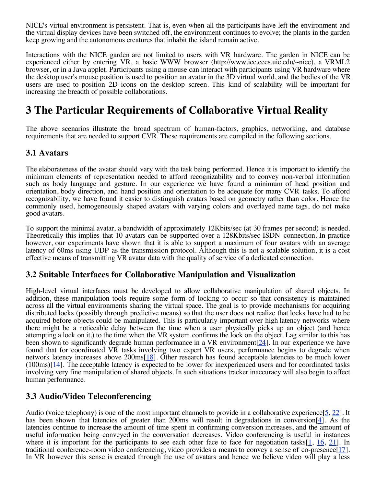NICE's virtual environment is persistent. That is, even when all the participants have left the environment and the virtual display devices have been switched off, the environment continues to evolve; the plants in the garden keep growing and the autonomous creatures that inhabit the island remain active.

Interactions with the NICE garden are not limited to users with VR hardware. The garden in NICE can be experienced either by entering VR, a basic WWW browser (http://www.ice.eecs.uic.edu/~nice), a VRML2 browser, or in a Java applet. Participants using a mouse can interact with participants using VR hardware where the desktop user's mouse position is used to position an avatar in the 3D virtual world, and the bodies of the VR users are used to position 2D icons on the desktop screen. This kind of scalability will be important for increasing the breadth of possible collaborations.

## **3 The Particular Requirements of Collaborative Virtual Reality**

The above scenarios illustrate the broad spectrum of human-factors, graphics, networking, and database requirements that are needed to support CVR. These requirements are compiled in the following sections.

### **3.1 Avatars**

The elaborateness of the avatar should vary with the task being performed. Hence it is important to identify the minimum elements of representation needed to afford recognizability and to convey non-verbal information such as body language and gesture. In our experience we have found a minimum of head position and orientation, body direction, and hand position and orientation to be adequate for many CVR tasks. To afford recognizability, we have found it easier to distinguish avatars based on geometry rather than color. Hence the commonly used, homogeneously shaped avatars with varying colors and overlayed name tags, do not make good avatars.

To support the minimal avatar, a bandwidth of approximately 12Kbits/sec (at 30 frames per second) is needed. Theoretically this implies that 10 avatars can be supported over a 128Kbits/sec ISDN connection. In practice however, our experiments have shown that it is able to support a maximum of four avatars with an average latency of 60ms using UDP as the transmission protocol. Although this is not a scalable solution, it is a cost effective means of transmitting VR avatar data with the quality of service of a dedicated connection.

### **3.2 Suitable Interfaces for Collaborative Manipulation and Visualization**

High-level virtual interfaces must be developed to allow collaborative manipulation of shared objects. In addition, these manipulation tools require some form of locking to occur so that consistency is maintained across all the virtual environments sharing the virtual space. The goal is to provide mechanisms for acquiring distributed locks (possibly through predictive means) so that the user does not realize that locks have had to be acquired before objects could be manipulated. This is particularly important over high latency networks where there might be a noticeable delay between the time when a user physically picks up an object (and hence attempting a lock on it,) to the time when the VR system confirms the lock on the object. Lag similar to this has been shown to significantly degrade human performance in a VR environment $[24]$ . In our experience we have found that for coordinated VR tasks involving two expert VR users, performance begins to degrade when network latency increases above  $200\text{ms}$ [18]. Other research has found acceptable latencies to be much lower (100ms)[14]. The acceptable latency is expected to be lower for inexperienced users and for coordinated tasks involving very fine manipulation of shared objects. In such situations tracker inaccuracy will also begin to affect human performance.

### **3.3 Audio/Video Teleconferencing**

Audio (voice telephony) is one of the most important channels to provide in a collaborative experience  $[5, 22]$ . It has been shown that latencies of greater than 200ms will result in degradations in conversion[4]. As the latencies continue to increase the amount of time spent in confirming conversion increases, and the amount of useful information being conveyed in the conversation decreases. Video conferencing is useful in instances where it is important for the participants to see each other face to face for negotiation tasks $[1, 16, 21]$ . In traditional conference-room video conferencing, video provides a means to convey a sense of co-presence[17]. In VR however this sense is created through the use of avatars and hence we believe video will play a less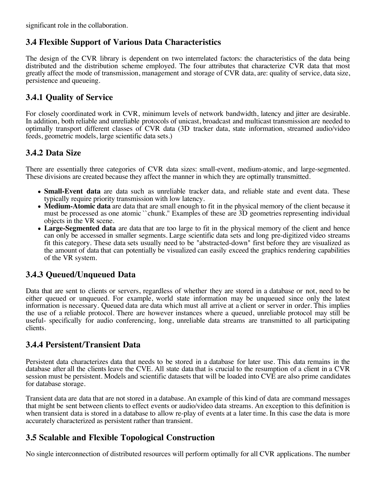significant role in the collaboration.

### **3.4 Flexible Support of Various Data Characteristics**

The design of the CVR library is dependent on two interrelated factors: the characteristics of the data being distributed and the distribution scheme employed. The four attributes that characterize CVR data that most greatly affect the mode of transmission, management and storage of CVR data, are: quality of service, data size, persistence and queueing.

### **3.4.1 Quality of Service**

For closely coordinated work in CVR, minimum levels of network bandwidth, latency and jitter are desirable. In addition, both reliable and unreliable protocols of unicast, broadcast and multicast transmission are needed to optimally transport different classes of CVR data (3D tracker data, state information, streamed audio/video feeds, geometric models, large scientific data sets.)

### **3.4.2 Data Size**

There are essentially three categories of CVR data sizes: small-event, medium-atomic, and large-segmented. These divisions are created because they affect the manner in which they are optimally transmitted.

- **Small-Event data** are data such as unreliable tracker data, and reliable state and event data. These typically require priority transmission with low latency.
- **Medium-Atomic data** are data that are small enough to fit in the physical memory of the client because it must be processed as one atomic ``chunk.'' Examples of these are 3D geometries representing individual objects in the VR scene.
- Large-Segmented data are data that are too large to fit in the physical memory of the client and hence can only be accessed in smaller segments. Large scientific data sets and long pre-digitized video streams fit this category. These data sets usually need to be "abstracted-down" first before they are visualized as the amount of data that can potentially be visualized can easily exceed the graphics rendering capabilities of the VR system.

### **3.4.3 Queued/Unqueued Data**

Data that are sent to clients or servers, regardless of whether they are stored in a database or not, need to be either queued or unqueued. For example, world state information may be unqueued since only the latest information is necessary. Queued data are data which must all arrive at a client or server in order. This implies the use of a reliable protocol. There are however instances where a queued, unreliable protocol may still be useful- specifically for audio conferencing, long, unreliable data streams are transmitted to all participating clients.

### **3.4.4 Persistent/Transient Data**

Persistent data characterizes data that needs to be stored in a database for later use. This data remains in the database after all the clients leave the CVE. All state data that is crucial to the resumption of a client in a CVR session must be persistent. Models and scientific datasets that will be loaded into CVE are also prime candidates for database storage.

Transient data are data that are not stored in a database. An example of this kind of data are command messages that might be sent between clients to effect events or audio/video data streams. An exception to this definition is when transient data is stored in a database to allow re-play of events at a later time. In this case the data is more accurately characterized as persistent rather than transient.

### **3.5 Scalable and Flexible Topological Construction**

No single interconnection of distributed resources will perform optimally for all CVR applications. The number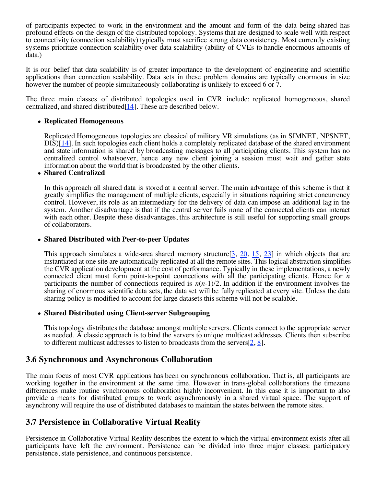of participants expected to work in the environment and the amount and form of the data being shared has profound effects on the design of the distributed topology. Systems that are designed to scale well with respect to connectivity (connection scalability) typically must sacrifice strong data consistency. Most currently existing systems prioritize connection scalability over data scalability (ability of CVEs to handle enormous amounts of data.)

It is our belief that data scalability is of greater importance to the development of engineering and scientific applications than connection scalability. Data sets in these problem domains are typically enormous in size however the number of people simultaneously collaborating is unlikely to exceed 6 or 7.

The three main classes of distributed topologies used in CVR include: replicated homogeneous, shared centralized, and shared distributed[14]. These are described below.

#### **Replicated Homogeneous**

Replicated Homogeneous topologies are classical of military VR simulations (as in SIMNET, NPSNET, DIS)[14]. In such topologies each client holds a completely replicated database of the shared environment and state information is shared by broadcasting messages to all participating clients. This system has no centralized control whatsoever, hence any new client joining a session must wait and gather state information about the world that is broadcasted by the other clients.

#### **Shared Centralized**

In this approach all shared data is stored at a central server. The main advantage of this scheme is that it greatly simplifies the management of multiple clients, especially in situations requiring strict concurrency control. However, its role as an intermediary for the delivery of data can impose an additional lag in the system. Another disadvantage is that if the central server fails none of the connected clients can interact with each other. Despite these disadvantages, this architecture is still useful for supporting small groups of collaborators.

#### **Shared Distributed with Peer-to-peer Updates**

This approach simulates a wide-area shared memory structure  $[3, 20, 15, 23]$  in which objects that are instantiated at one site are automatically replicated at all the remote sites. This logical abstraction simplifies the CVR application development at the cost of performance. Typically in these implementations, a newly connected client must form point-to-point connections with all the participating clients. Hence for *n* participants the number of connections required is  $n(n-1)/2$ . In addition if the environment involves the sharing of enormous scientific data sets, the data set will be fully replicated at every site. Unless the data sharing policy is modified to account for large datasets this scheme will not be scalable.

#### **Shared Distributed using Client-server Subgrouping**

This topology distributes the database amongst multiple servers. Clients connect to the appropriate server as needed. A classic approach is to bind the servers to unique multicast addresses. Clients then subscribe to different multicast addresses to listen to broadcasts from the servers $[2, 8]$ .

### **3.6 Synchronous and Asynchronous Collaboration**

The main focus of most CVR applications has been on synchronous collaboration. That is, all participants are working together in the environment at the same time. However in trans-global collaborations the timezone differences make routine synchronous collaboration highly inconvenient. In this case it is important to also provide a means for distributed groups to work asynchronously in a shared virtual space. The support of asynchrony will require the use of distributed databases to maintain the states between the remote sites.

### **3.7 Persistence in Collaborative Virtual Reality**

Persistence in Collaborative Virtual Reality describes the extent to which the virtual environment exists after all participants have left the environment. Persistence can be divided into three major classes: participatory persistence, state persistence, and continuous persistence.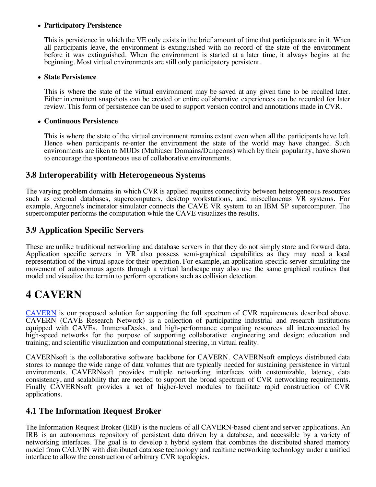#### **Participatory Persistence**

This is persistence in which the VE only exists in the brief amount of time that participants are in it. When all participants leave, the environment is extinguished with no record of the state of the environment before it was extinguished. When the environment is started at a later time, it always begins at the beginning. Most virtual environments are still only participatory persistent.

#### **State Persistence**

This is where the state of the virtual environment may be saved at any given time to be recalled later. Either intermittent snapshots can be created or entire collaborative experiences can be recorded for later review. This form of persistence can be used to support version control and annotations made in CVR.

#### **Continuous Persistence**

This is where the state of the virtual environment remains extant even when all the participants have left. Hence when participants re-enter the environment the state of the world may have changed. Such environments are liken to MUDs (Multiuser Domains/Dungeons) which by their popularity, have shown to encourage the spontaneous use of collaborative environments.

### **3.8 Interoperability with Heterogeneous Systems**

The varying problem domains in which CVR is applied requires connectivity between heterogeneous resources such as external databases, supercomputers, desktop workstations, and miscellaneous VR systems. For example, Argonne's incinerator simulator connects the CAVE VR system to an IBM SP supercomputer. The supercomputer performs the computation while the CAVE visualizes the results.

### **3.9 Application Specific Servers**

These are unlike traditional networking and database servers in that they do not simply store and forward data. Application specific servers in VR also possess semi-graphical capabilities as they may need a local representation of the virtual space for their operation. For example, an application specific server simulating the movement of autonomous agents through a virtual landscape may also use the same graphical routines that model and visualize the terrain to perform operations such as collision detection.

## **4 CAVERN**

CAVERN is our proposed solution for supporting the full spectrum of CVR requirements described above. CAVERN (CAVE Research Network) is a collection of participating industrial and research institutions equipped with CAVEs, ImmersaDesks, and high-performance computing resources all interconnected by high-speed networks for the purpose of supporting collaborative: engineering and design; education and training; and scientific visualization and computational steering, in virtual reality.

CAVERNsoft is the collaborative software backbone for CAVERN. CAVERNsoft employs distributed data stores to manage the wide range of data volumes that are typically needed for sustaining persistence in virtual environments. CAVERNsoft provides multiple networking interfaces with customizable, latency, data consistency, and scalability that are needed to support the broad spectrum of CVR networking requirements. Finally CAVERNsoft provides a set of higher-level modules to facilitate rapid construction of CVR applications.

### **4.1 The Information Request Broker**

The Information Request Broker (IRB) is the nucleus of all CAVERN-based client and server applications. An IRB is an autonomous repository of persistent data driven by a database, and accessible by a variety of networking interfaces. The goal is to develop a hybrid system that combines the distributed shared memory model from CALVIN with distributed database technology and realtime networking technology under a unified interface to allow the construction of arbitrary CVR topologies.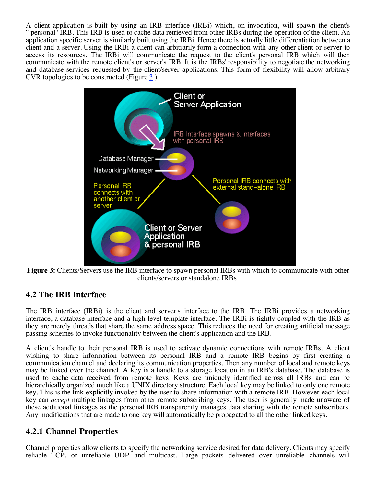A client application is built by using an IRB interface (IRBi) which, on invocation, will spawn the client's ``personal'' IRB. This IRB is used to cache data retrieved from other IRBs during the operation of the client. An application specific server is similarly built using the IRBi. Hence there is actually little differentiation between a client and a server. Using the IRBi a client can arbitrarily form a connection with any other client or server to access its resources. The IRBi will communicate the request to the client's personal IRB which will then communicate with the remote client's or server's IRB. It is the IRBs' responsibility to negotiate the networking and database services requested by the client/server applications. This form of flexibility will allow arbitrary CVR topologies to be constructed (Figure 3.)



**Figure 3:** Clients/Servers use the IRB interface to spawn personal IRBs with which to communicate with other clients/servers or standalone IRBs.

### **4.2 The IRB Interface**

The IRB interface (IRBi) is the client and server's interface to the IRB. The IRBi provides a networking interface, a database interface and a high-level template interface. The IRBi is tightly coupled with the IRB as they are merely threads that share the same address space. This reduces the need for creating artificial message passing schemes to invoke functionality between the client's application and the IRB.

A client's handle to their personal IRB is used to activate dynamic connections with remote IRBs. A client wishing to share information between its personal IRB and a remote IRB begins by first creating a communication channel and declaring its communication properties. Then any number of local and remote keys may be linked over the channel. A key is a handle to a storage location in an IRB's database. The database is used to cache data received from remote keys. Keys are uniquely identified across all IRBs and can be hierarchically organized much like a UNIX directory structure. Each local key may be linked to only one remote key. This is the link explicitly invoked by the user to share information with a remote IRB. However each local key can *accept* multiple linkages from other remote subscribing keys. The user is generally made unaware of these additional linkages as the personal IRB transparently manages data sharing with the remote subscribers. Any modifications that are made to one key will automatically be propagated to all the other linked keys.

### **4.2.1 Channel Properties**

Channel properties allow clients to specify the networking service desired for data delivery. Clients may specify reliable TCP, or unreliable UDP and multicast. Large packets delivered over unreliable channels will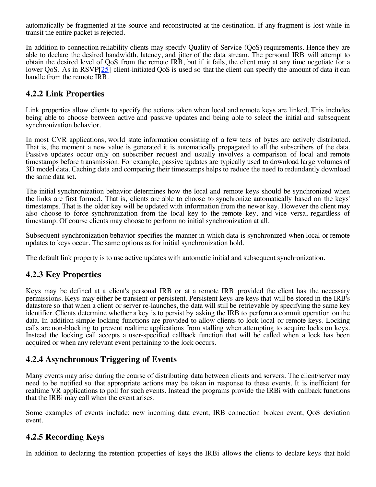automatically be fragmented at the source and reconstructed at the destination. If any fragment is lost while in transit the entire packet is rejected.

In addition to connection reliability clients may specify Quality of Service (QoS) requirements. Hence they are able to declare the desired bandwidth, latency, and jitter of the data stream. The personal IRB will attempt to obtain the desired level of QoS from the remote IRB, but if it fails, the client may at any time negotiate for a lower QoS. As in RSVP[25] client-initiated QoS is used so that the client can specify the amount of data it can handle from the remote IRB.

### **4.2.2 Link Properties**

Link properties allow clients to specify the actions taken when local and remote keys are linked. This includes being able to choose between active and passive updates and being able to select the initial and subsequent synchronization behavior.

In most CVR applications, world state information consisting of a few tens of bytes are actively distributed. That is, the moment a new value is generated it is automatically propagated to all the subscribers of the data. Passive updates occur only on subscriber request and usually involves a comparison of local and remote timestamps before transmission. For example, passive updates are typically used to download large volumes of 3D model data. Caching data and comparing their timestamps helps to reduce the need to redundantly download the same data set.

The initial synchronization behavior determines how the local and remote keys should be synchronized when the links are first formed. That is, clients are able to choose to synchronize automatically based on the keys' timestamps. That is the older key will be updated with information from the newer key. However the client may also choose to force synchronization from the local key to the remote key, and vice versa, regardless of timestamp. Of course clients may choose to perform no initial synchronization at all.

Subsequent synchronization behavior specifies the manner in which data is synchronized when local or remote updates to keys occur. The same options as for initial synchronization hold.

The default link property is to use active updates with automatic initial and subsequent synchronization.

### **4.2.3 Key Properties**

Keys may be defined at a client's personal IRB or at a remote IRB provided the client has the necessary permissions. Keys may either be transient or persistent. Persistent keys are keys that will be stored in the IRB's datastore so that when a client or server re-launches, the data will still be retrievable by specifying the same key identifier. Clients determine whether a key is to persist by asking the IRB to perform a commit operation on the data. In addition simple locking functions are provided to allow clients to lock local or remote keys. Locking calls are non-blocking to prevent realtime applications from stalling when attempting to acquire locks on keys. Instead the locking call accepts a user-specified callback function that will be called when a lock has been acquired or when any relevant event pertaining to the lock occurs.

### **4.2.4 Asynchronous Triggering of Events**

Many events may arise during the course of distributing data between clients and servers. The client/server may need to be notified so that appropriate actions may be taken in response to these events. It is inefficient for realtime VR applications to poll for such events. Instead the programs provide the IRBi with callback functions that the IRBi may call when the event arises.

Some examples of events include: new incoming data event; IRB connection broken event; QoS deviation event.

### **4.2.5 Recording Keys**

In addition to declaring the retention properties of keys the IRBi allows the clients to declare keys that hold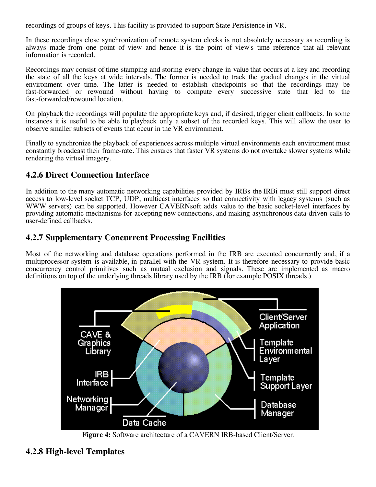recordings of groups of keys. This facility is provided to support State Persistence in VR.

In these recordings close synchronization of remote system clocks is not absolutely necessary as recording is always made from one point of view and hence it is the point of view's time reference that all relevant information is recorded.

Recordings may consist of time stamping and storing every change in value that occurs at a key and recording the state of all the keys at wide intervals. The former is needed to track the gradual changes in the virtual environment over time. The latter is needed to establish checkpoints so that the recordings may be fast-forwarded or rewound without having to compute every successive state that led to the fast-forwarded/rewound location.

On playback the recordings will populate the appropriate keys and, if desired, trigger client callbacks. In some instances it is useful to be able to playback only a subset of the recorded keys. This will allow the user to observe smaller subsets of events that occur in the VR environment.

Finally to synchronize the playback of experiences across multiple virtual environments each environment must constantly broadcast their frame-rate. This ensures that faster VR systems do not overtake slower systems while rendering the virtual imagery.

### **4.2.6 Direct Connection Interface**

In addition to the many automatic networking capabilities provided by IRBs the IRBi must still support direct access to low-level socket TCP, UDP, multicast interfaces so that connectivity with legacy systems (such as WWW servers) can be supported. However CAVERNsoft adds value to the basic socket-level interfaces by providing automatic mechanisms for accepting new connections, and making asynchronous data-driven calls to user-defined callbacks.

### **4.2.7 Supplementary Concurrent Processing Facilities**

Most of the networking and database operations performed in the IRB are executed concurrently and, if a multiprocessor system is available, in parallel with the VR system. It is therefore necessary to provide basic concurrency control primitives such as mutual exclusion and signals. These are implemented as macro definitions on top of the underlying threads library used by the IRB (for example POSIX threads.)



**Figure 4:** Software architecture of a CAVERN IRB-based Client/Server.

### **4.2.8 High-level Templates**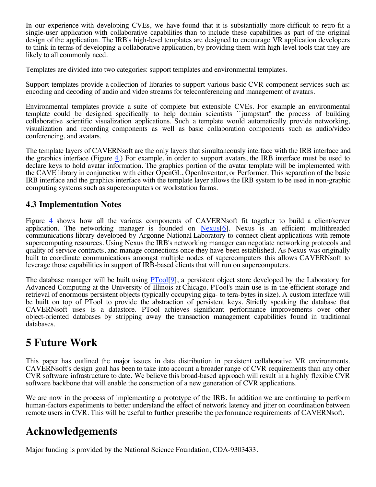In our experience with developing CVEs, we have found that it is substantially more difficult to retro-fit a single-user application with collaborative capabilities than to include these capabilities as part of the original design of the application. The IRB's high-level templates are designed to encourage VR application developers to think in terms of developing a collaborative application, by providing them with high-level tools that they are likely to all commonly need.

Templates are divided into two categories: support templates and environmental templates.

Support templates provide a collection of libraries to support various basic CVR component services such as: encoding and decoding of audio and video streams for teleconferencing and management of avatars.

Environmental templates provide a suite of complete but extensible CVEs. For example an environmental template could be designed specifically to help domain scientists ``jumpstart'' the process of building collaborative scientific visualization applications. Such a template would automatically provide networking, visualization and recording components as well as basic collaboration components such as audio/video conferencing, and avatars.

The template layers of CAVERNsoft are the only layers that simultaneously interface with the IRB interface and the graphics interface (Figure  $\underline{4}$ .) For example, in order to support avatars, the IRB interface must be used to declare keys to hold avatar information. The graphics portion of the avatar template will be implemented with the CAVE library in conjunction with either OpenGL, OpenInventor, or Performer. This separation of the basic IRB interface and the graphics interface with the template layer allows the IRB system to be used in non-graphic computing systems such as supercomputers or workstation farms.

### **4.3 Implementation Notes**

Figure  $\frac{4}{3}$  shows how all the various components of CAVERNs of fit together to build a client/server application. The networking manager is founded on  $Nexus[6]$ . Nexus is an efficient multithreaded communications library developed by Argonne National Laboratory to connect client applications with remote supercomputing resources. Using Nexus the IRB's networking manager can negotiate networking protocols and quality of service contracts, and manage connections once they have been established. As Nexus was originally built to coordinate communications amongst multiple nodes of supercomputers this allows CAVERNsoft to leverage those capabilities in support of IRB-based clients that will run on supercomputers.

The database manager will be built using  $PTool[9]$ , a persistent object store developed by the Laboratory for Advanced Computing at the University of Illinois at Chicago. PTool's main use is in the efficient storage and retrieval of enormous persistent objects (typically occupying giga- to tera-bytes in size). A custom interface will be built on top of PTool to provide the abstraction of persistent keys. Strictly speaking the database that CAVERNsoft uses is a datastore. PTool achieves significant performance improvements over other object-oriented databases by stripping away the transaction management capabilities found in traditional databases.

## **5 Future Work**

This paper has outlined the major issues in data distribution in persistent collaborative VR environments. CAVERNsoft's design goal has been to take into account a broader range of CVR requirements than any other CVR software infrastructure to date. We believe this broad-based approach will result in a highly flexible CVR software backbone that will enable the construction of a new generation of CVR applications.

We are now in the process of implementing a prototype of the IRB. In addition we are continuing to perform human-factors experiments to better understand the effect of network latency and jitter on coordination between remote users in CVR. This will be useful to further prescribe the performance requirements of CAVERNsoft.

## **Acknowledgements**

Major funding is provided by the National Science Foundation, CDA-9303433.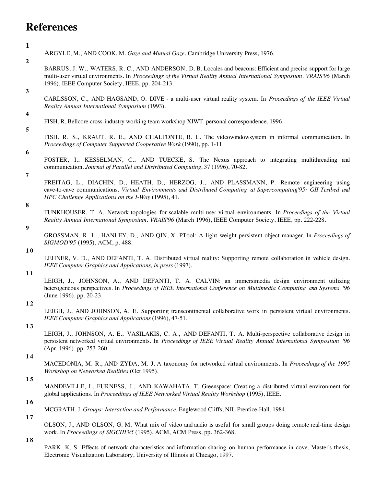## **References**

- ARGYLE, M., AND COOK, M. *Gaze and Mutual Gaze*. Cambridge University Press, 1976.
- BARRUS, J. W., WATERS, R. C., AND ANDERSON, D. B. Locales and beacons: Efficient and precise support for large multi-user virtual environments. In *Proceedings of the Virtual Reality Annual International Symposium. VRAIS'96* (March 1996), IEEE Computer Society, IEEE, pp. 204-213.
- CARLSSON, C., AND HAGSAND, O. DIVE a multi-user virtual reality system. In *Proceedings of the IEEE Virtual Reality Annual International Symposium* (1993).
- **4**

**5**

**3**

**1**

**2**

FISH, R. Bellcore cross-industry working team workshop XIWT. personal correspondence, 1996.

FISH, R. S., KRAUT, R. E., AND CHALFONTE, B. L. The videowindowsystem in informal communication. In *Proceedings of Computer Supported Cooperative Work* (1990), pp. 1-11.

**6**

FOSTER, I., KESSELMAN, C., AND TUECKE, S. The Nexus approach to integrating multithreading and communication. *Journal of Parallel and Distributed Computing*, 37 (1996), 70-82.

**7**

FREITAG, L., DIACHIN, D., HEATH, D., HERZOG, J., AND PLASSMANN, P. Remote engineering using cave-to-cave communications. *Virtual Environments and Distributed Computing at Supercomputing'95: GII Testbed and HPC Challenge Applications on the I-Way* (1995), 41.

#### **8**

FUNKHOUSER, T. A. Network topologies for scalable multi-user virtual environments. In *Proceedings of the Virtual Reality Annual International Symposium. VRAIS'96* (March 1996), IEEE Computer Society, IEEE, pp. 222-228.

**9**

GROSSMAN, R. L., HANLEY, D., AND QIN, X. PTool: A light weight persistent object manager. In *Proceedings of SIGMOD'95* (1995), ACM, p. 488.

#### **1 0**

LEHNER, V. D., AND DEFANTI, T. A. Distributed virtual reality: Supporting remote collaboration in vehicle design. *IEEE Computer Graphics and Applications, in press* (1997).

#### **1 1**

LEIGH, J., JOHNSON, A., AND DEFANTI, T. A. CALVIN: an immersimedia design environment utilizing heterogeneous perspectives. In *Proceedings of IEEE International Conference on Multimedia Computing and Systems '96* (June 1996), pp. 20-23.

#### **1 2**

LEIGH, J., AND JOHNSON, A. E. Supporting transcontinental collaborative work in persistent virtual environments. *IEEE Computer Graphics and Applications* (1996), 47-51.

**1 3**

LEIGH, J., JOHNSON, A. E., VASILAKIS, C. A., AND DEFANTI, T. A. Multi-perspective collaborative design in persistent networked virtual environments. In *Proceedings of IEEE Virtual Reality Annual International Symposium '96* (Apr. 1996), pp. 253-260.

**1 4**

MACEDONIA, M. R., AND ZYDA, M. J. A taxonomy for networked virtual environments. In *Proceedings of the 1995 Workshop on Networked Realities* (Oct 1995).

**1 5**

MANDEVILLE, J., FURNESS, J., AND KAWAHATA, T. Greenspace: Creating a distributed virtual environment for global applications. In *Proceedings of IEEE Networked Virtual Reality Workshop* (1995), IEEE.

**1 6**

MCGRATH, J. *Groups: Interaction and Performance*. Englewood Cliffs, NJL Prentice-Hall, 1984.

**1 7**

OLSON, J., AND OLSON, G. M. What mix of video and audio is useful for small groups doing remote real-time design work. In *Proceedings of SIGCHI'95* (1995), ACM, ACM Press, pp. 362-368.

**1 8**

PARK, K. S. Effects of network characteristics and information sharing on human performance in cove. Master's thesis, Electronic Visualization Laboratory, University of Illinois at Chicago, 1997.